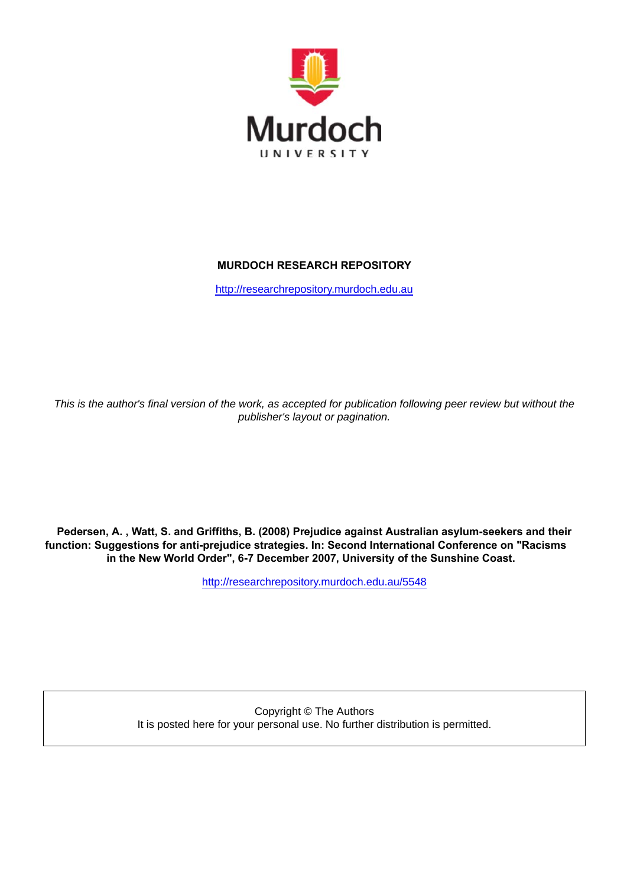

# **MURDOCH RESEARCH REPOSITORY**

http://researchrepository.murdoch.edu.au

*This is the author's final version of the work, as accepted for publication following peer review but without the publisher's layout or pagination.*

**Pedersen, A. , Watt, S. and Griffiths, B. (2008) Prejudice against Australian asylum-seekers and their function: Suggestions for anti-prejudice strategies. In: Second International Conference on "Racisms in the New World Order", 6-7 December 2007, University of the Sunshine Coast.**

http://researchrepository.murdoch.edu.au/5548

Copyright © The Authors It is posted here for your personal use. No further distribution is permitted.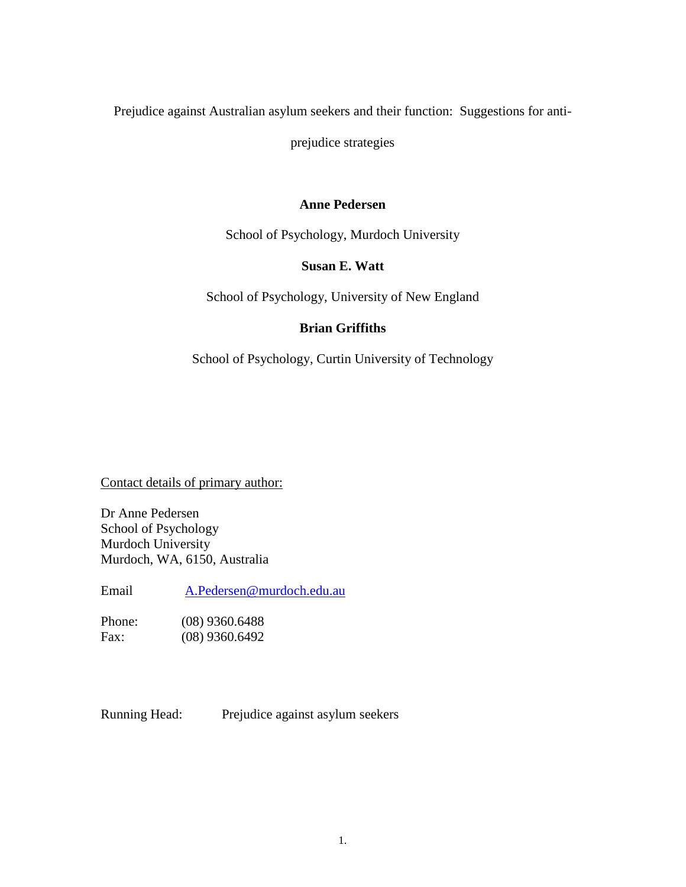Prejudice against Australian asylum seekers and their function: Suggestions for anti-

prejudice strategies

## **Anne Pedersen**

School of Psychology, Murdoch University

## **Susan E. Watt**

School of Psychology, University of New England

## **Brian Griffiths**

School of Psychology, Curtin University of Technology

Contact details of primary author:

Dr Anne Pedersen School of Psychology Murdoch University Murdoch, WA, 6150, Australia

Email [A.Pedersen@murdoch.edu.au](mailto:A.Pedersen@murdoch.edu.au)

Phone: (08) 9360.6488 Fax: (08) 9360.6492

Running Head: Prejudice against asylum seekers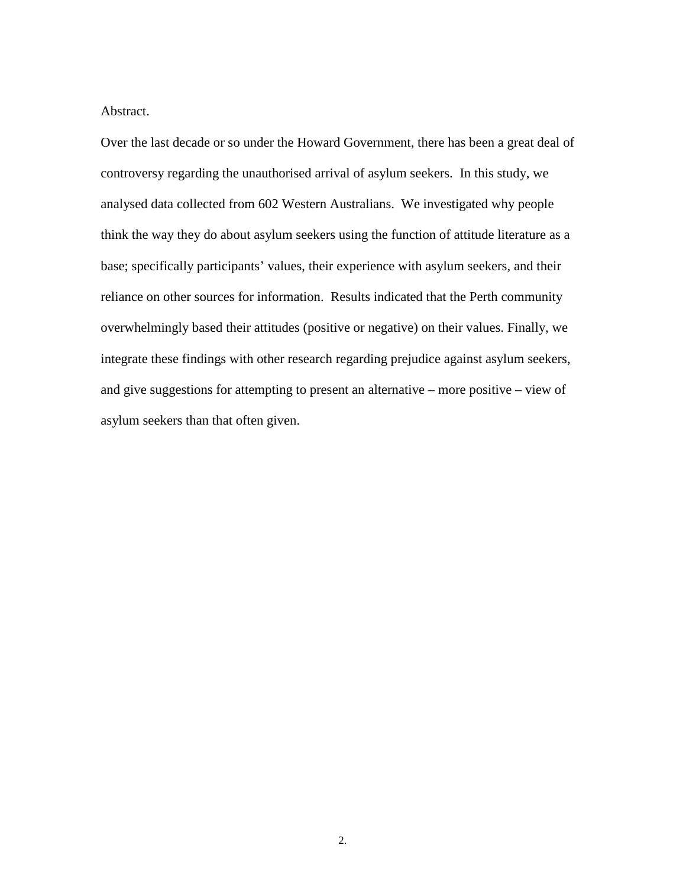Abstract.

Over the last decade or so under the Howard Government, there has been a great deal of controversy regarding the unauthorised arrival of asylum seekers. In this study, we analysed data collected from 602 Western Australians. We investigated why people think the way they do about asylum seekers using the function of attitude literature as a base; specifically participants' values, their experience with asylum seekers, and their reliance on other sources for information. Results indicated that the Perth community overwhelmingly based their attitudes (positive or negative) on their values. Finally, we integrate these findings with other research regarding prejudice against asylum seekers, and give suggestions for attempting to present an alternative – more positive – view of asylum seekers than that often given.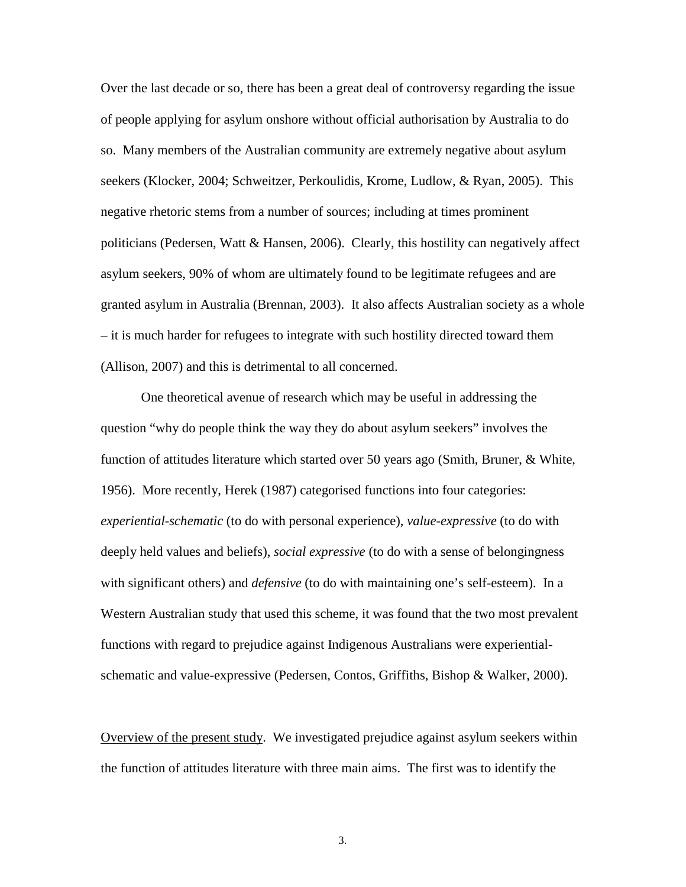Over the last decade or so, there has been a great deal of controversy regarding the issue of people applying for asylum onshore without official authorisation by Australia to do so. Many members of the Australian community are extremely negative about asylum seekers (Klocker, 2004; Schweitzer, Perkoulidis, Krome, Ludlow, & Ryan, 2005). This negative rhetoric stems from a number of sources; including at times prominent politicians (Pedersen, Watt & Hansen, 2006). Clearly, this hostility can negatively affect asylum seekers, 90% of whom are ultimately found to be legitimate refugees and are granted asylum in Australia (Brennan, 2003). It also affects Australian society as a whole – it is much harder for refugees to integrate with such hostility directed toward them (Allison, 2007) and this is detrimental to all concerned.

One theoretical avenue of research which may be useful in addressing the question "why do people think the way they do about asylum seekers" involves the function of attitudes literature which started over 50 years ago (Smith, Bruner, & White, 1956). More recently, Herek (1987) categorised functions into four categories: *experiential-schematic* (to do with personal experience), *value-expressive* (to do with deeply held values and beliefs), *social expressive* (to do with a sense of belongingness with significant others) and *defensive* (to do with maintaining one's self-esteem). In a Western Australian study that used this scheme, it was found that the two most prevalent functions with regard to prejudice against Indigenous Australians were experientialschematic and value-expressive (Pedersen, Contos, Griffiths, Bishop & Walker, 2000).

Overview of the present study. We investigated prejudice against asylum seekers within the function of attitudes literature with three main aims. The first was to identify the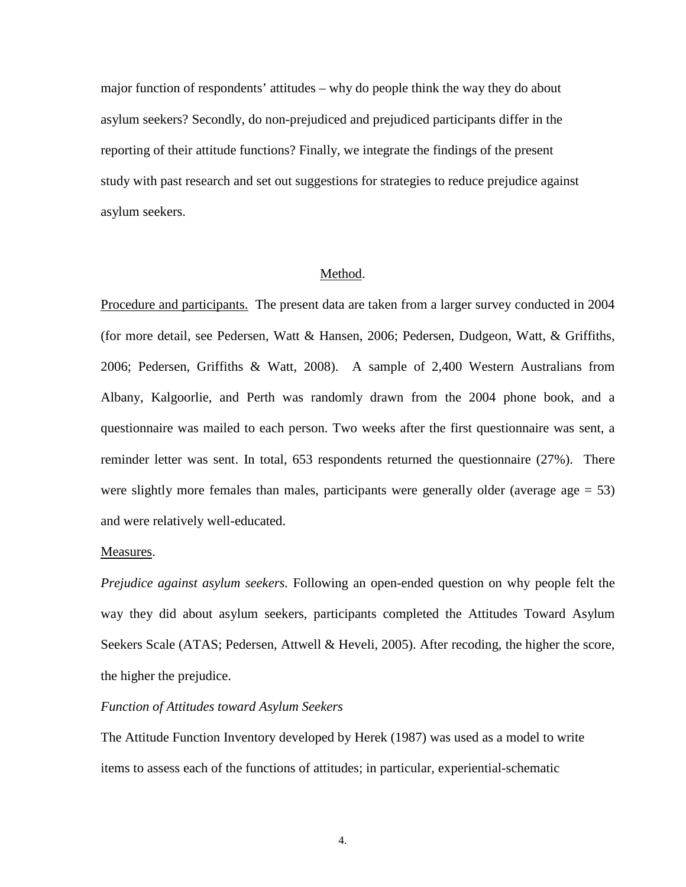major function of respondents' attitudes – why do people think the way they do about asylum seekers? Secondly, do non-prejudiced and prejudiced participants differ in the reporting of their attitude functions? Finally, we integrate the findings of the present study with past research and set out suggestions for strategies to reduce prejudice against asylum seekers.

### Method.

Procedure and participants. The present data are taken from a larger survey conducted in 2004 (for more detail, see Pedersen, Watt & Hansen, 2006; Pedersen, Dudgeon, Watt, & Griffiths, 2006; Pedersen, Griffiths & Watt, 2008). A sample of 2,400 Western Australians from Albany, Kalgoorlie, and Perth was randomly drawn from the 2004 phone book, and a questionnaire was mailed to each person. Two weeks after the first questionnaire was sent, a reminder letter was sent. In total, 653 respondents returned the questionnaire (27%). There were slightly more females than males, participants were generally older (average age  $= 53$ ) and were relatively well-educated.

#### Measures.

*Prejudice against asylum seekers.* Following an open-ended question on why people felt the way they did about asylum seekers, participants completed the Attitudes Toward Asylum Seekers Scale (ATAS; Pedersen, Attwell & Heveli, 2005). After recoding, the higher the score, the higher the prejudice.

### *Function of Attitudes toward Asylum Seekers*

The Attitude Function Inventory developed by Herek (1987) was used as a model to write items to assess each of the functions of attitudes; in particular, experiential-schematic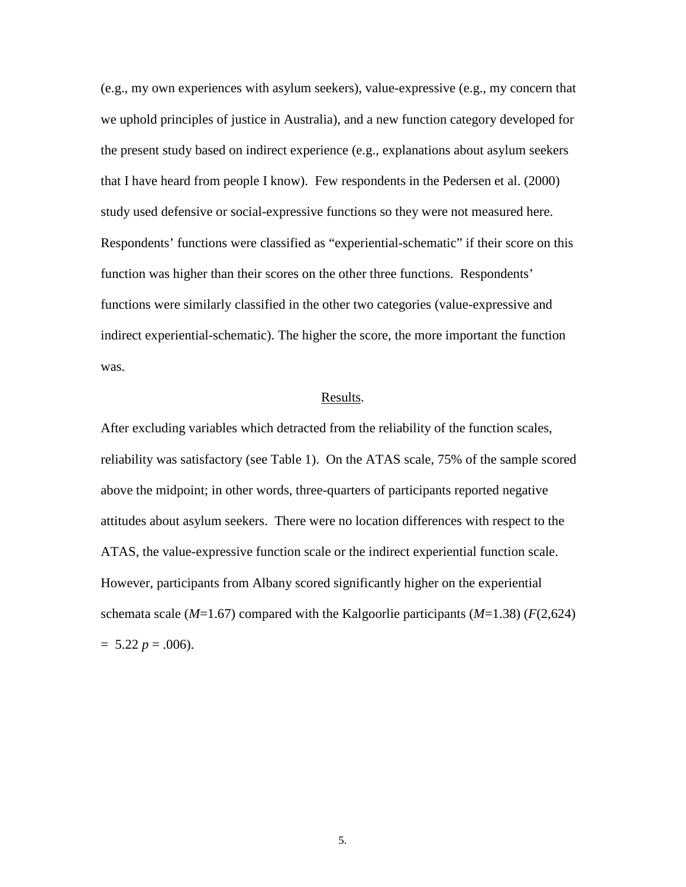(e.g., my own experiences with asylum seekers), value-expressive (e.g., my concern that we uphold principles of justice in Australia), and a new function category developed for the present study based on indirect experience (e.g., explanations about asylum seekers that I have heard from people I know). Few respondents in the Pedersen et al. (2000) study used defensive or social-expressive functions so they were not measured here. Respondents' functions were classified as "experiential-schematic" if their score on this function was higher than their scores on the other three functions. Respondents' functions were similarly classified in the other two categories (value-expressive and indirect experiential-schematic). The higher the score, the more important the function was.

## Results.

After excluding variables which detracted from the reliability of the function scales, reliability was satisfactory (see Table 1). On the ATAS scale, 75% of the sample scored above the midpoint; in other words, three-quarters of participants reported negative attitudes about asylum seekers. There were no location differences with respect to the ATAS, the value-expressive function scale or the indirect experiential function scale. However, participants from Albany scored significantly higher on the experiential schemata scale (*M*=1.67) compared with the Kalgoorlie participants (*M*=1.38) (*F*(2,624)  $= 5.22 p = .006$ .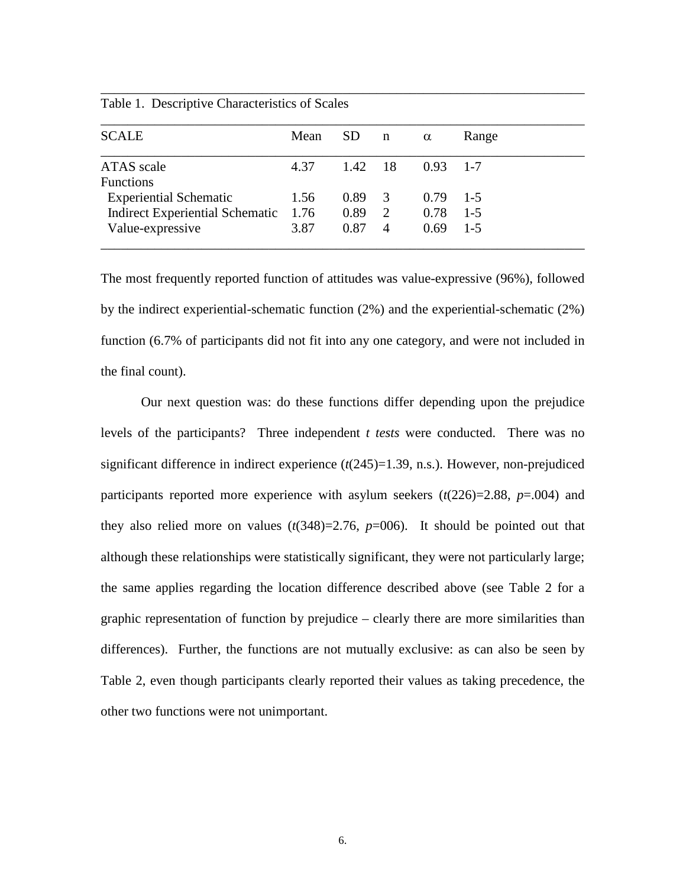| <b>SCALE</b>                         | Mean | SD <sub>1</sub> | n              | $\alpha$   | Range   |
|--------------------------------------|------|-----------------|----------------|------------|---------|
| ATAS scale                           | 4.37 | 1.42 18         |                | $0.93$ 1-7 |         |
| <b>Functions</b>                     |      |                 |                |            |         |
| <b>Experiential Schematic</b>        | 1.56 | 0.89            | 3              | 0.79       | $1 - 5$ |
| Indirect Experiential Schematic 1.76 |      | 0.89            | 2              | 0.78       | $1-5$   |
| Value-expressive                     | 3.87 | 0.87            | $\overline{4}$ | 0.69       | $1 - 5$ |

\_\_\_\_\_\_\_\_\_\_\_\_\_\_\_\_\_\_\_\_\_\_\_\_\_\_\_\_\_\_\_\_\_\_\_\_\_\_\_\_\_\_\_\_\_\_\_\_\_\_\_\_\_\_\_\_\_\_\_\_\_\_\_\_\_\_\_\_\_\_\_\_

Table 1. Descriptive Characteristics of Scales

The most frequently reported function of attitudes was value-expressive (96%), followed by the indirect experiential-schematic function (2%) and the experiential-schematic (2%) function (6.7% of participants did not fit into any one category, and were not included in the final count).

Our next question was: do these functions differ depending upon the prejudice levels of the participants? Three independent *t tests* were conducted. There was no significant difference in indirect experience  $(t(245)=1.39, n.s.)$ . However, non-prejudiced participants reported more experience with asylum seekers  $(t(226)=2.88, p=.004)$  and they also relied more on values  $(t(348)=2.76, p=006)$ . It should be pointed out that although these relationships were statistically significant, they were not particularly large; the same applies regarding the location difference described above (see Table 2 for a graphic representation of function by prejudice – clearly there are more similarities than differences). Further, the functions are not mutually exclusive: as can also be seen by Table 2, even though participants clearly reported their values as taking precedence, the other two functions were not unimportant.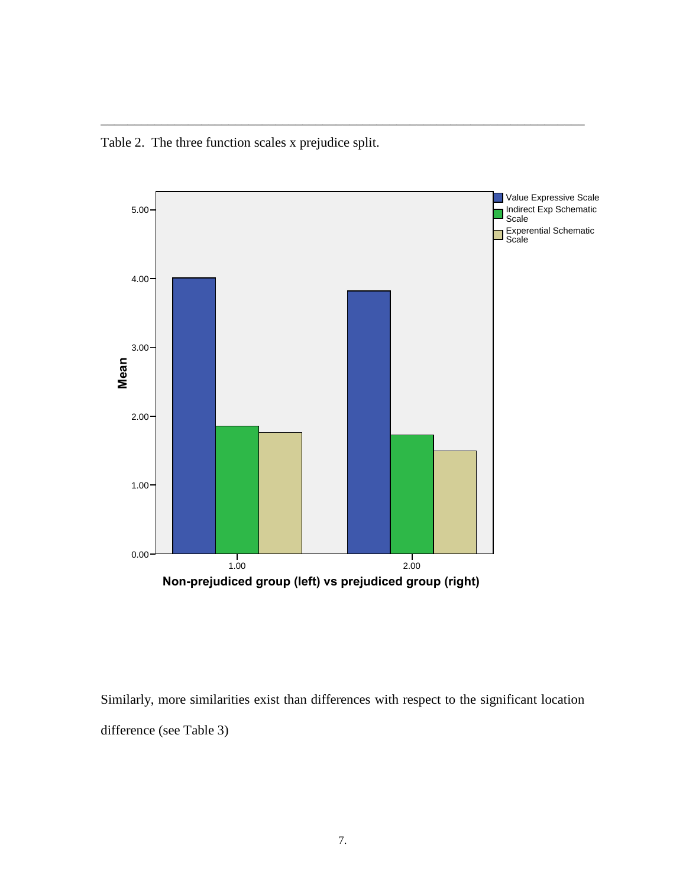



\_\_\_\_\_\_\_\_\_\_\_\_\_\_\_\_\_\_\_\_\_\_\_\_\_\_\_\_\_\_\_\_\_\_\_\_\_\_\_\_\_\_\_\_\_\_\_\_\_\_\_\_\_\_\_\_\_\_\_\_\_\_\_\_\_\_\_\_\_\_\_\_

Similarly, more similarities exist than differences with respect to the significant location difference (see Table 3)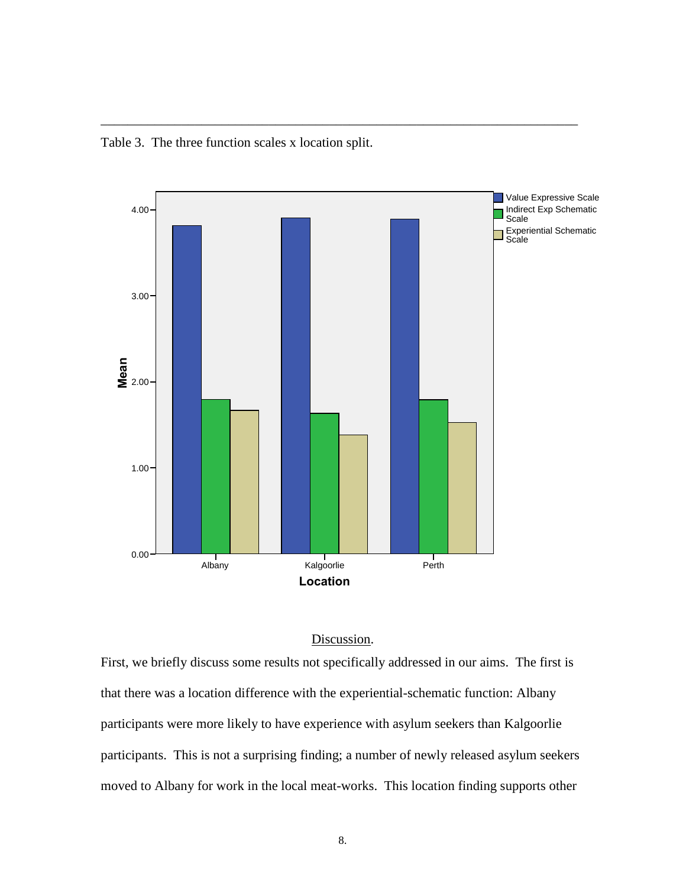



\_\_\_\_\_\_\_\_\_\_\_\_\_\_\_\_\_\_\_\_\_\_\_\_\_\_\_\_\_\_\_\_\_\_\_\_\_\_\_\_\_\_\_\_\_\_\_\_\_\_\_\_\_\_\_\_\_\_\_\_\_\_\_\_\_\_\_\_\_\_\_

## Discussion.

First, we briefly discuss some results not specifically addressed in our aims. The first is that there was a location difference with the experiential-schematic function: Albany participants were more likely to have experience with asylum seekers than Kalgoorlie participants. This is not a surprising finding; a number of newly released asylum seekers moved to Albany for work in the local meat-works. This location finding supports other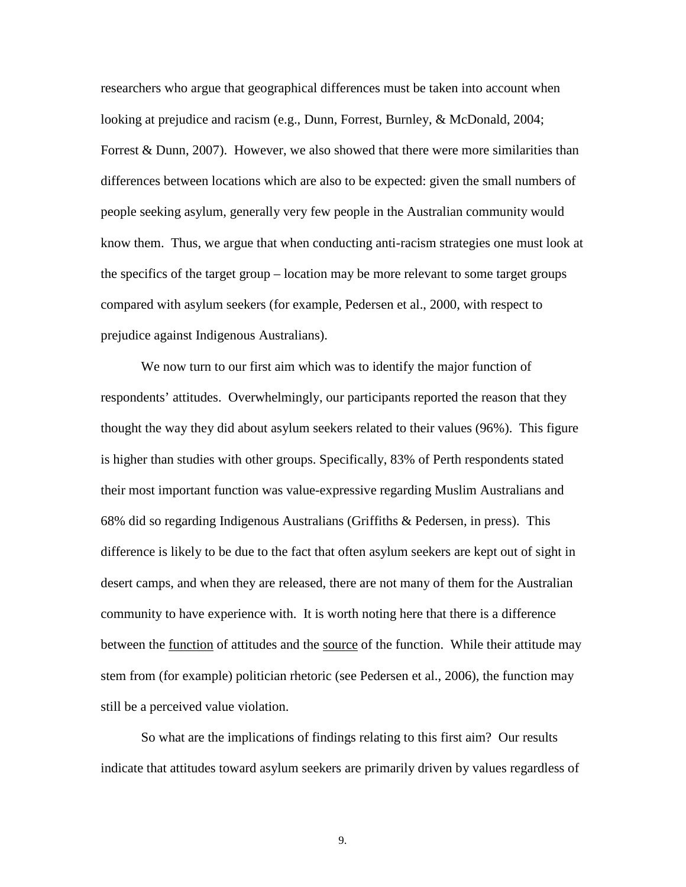researchers who argue that geographical differences must be taken into account when looking at prejudice and racism (e.g., Dunn, Forrest, Burnley, & McDonald, 2004; Forrest & Dunn, 2007). However, we also showed that there were more similarities than differences between locations which are also to be expected: given the small numbers of people seeking asylum, generally very few people in the Australian community would know them. Thus, we argue that when conducting anti-racism strategies one must look at the specifics of the target group – location may be more relevant to some target groups compared with asylum seekers (for example, Pedersen et al., 2000, with respect to prejudice against Indigenous Australians).

We now turn to our first aim which was to identify the major function of respondents' attitudes. Overwhelmingly, our participants reported the reason that they thought the way they did about asylum seekers related to their values (96%). This figure is higher than studies with other groups. Specifically, 83% of Perth respondents stated their most important function was value-expressive regarding Muslim Australians and 68% did so regarding Indigenous Australians (Griffiths & Pedersen, in press). This difference is likely to be due to the fact that often asylum seekers are kept out of sight in desert camps, and when they are released, there are not many of them for the Australian community to have experience with. It is worth noting here that there is a difference between the <u>function</u> of attitudes and the <u>source</u> of the function. While their attitude may stem from (for example) politician rhetoric (see Pedersen et al., 2006), the function may still be a perceived value violation.

So what are the implications of findings relating to this first aim? Our results indicate that attitudes toward asylum seekers are primarily driven by values regardless of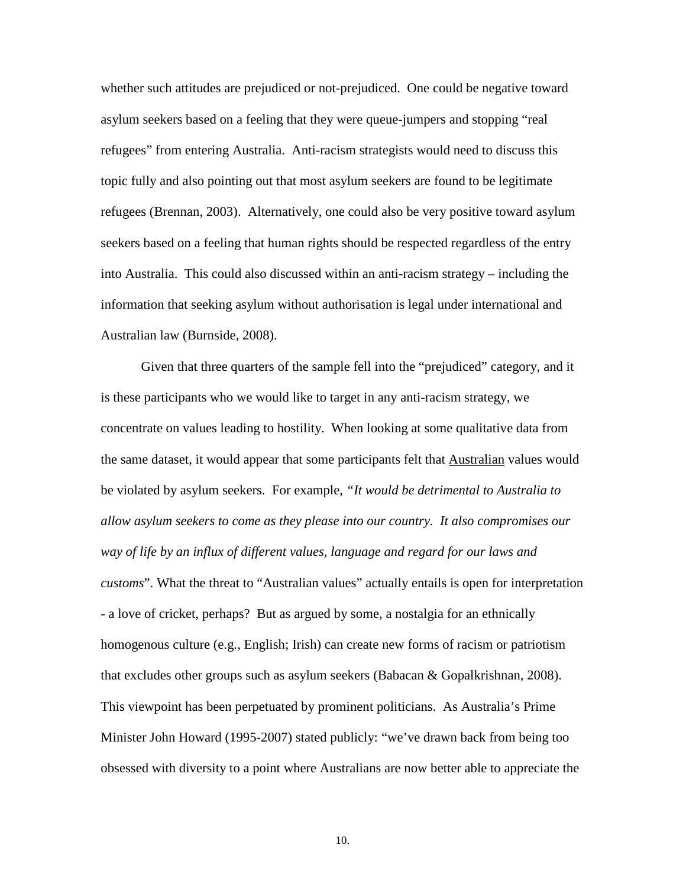whether such attitudes are prejudiced or not-prejudiced. One could be negative toward asylum seekers based on a feeling that they were queue-jumpers and stopping "real refugees" from entering Australia. Anti-racism strategists would need to discuss this topic fully and also pointing out that most asylum seekers are found to be legitimate refugees (Brennan, 2003). Alternatively, one could also be very positive toward asylum seekers based on a feeling that human rights should be respected regardless of the entry into Australia. This could also discussed within an anti-racism strategy – including the information that seeking asylum without authorisation is legal under international and Australian law (Burnside, 2008).

Given that three quarters of the sample fell into the "prejudiced" category, and it is these participants who we would like to target in any anti-racism strategy, we concentrate on values leading to hostility. When looking at some qualitative data from the same dataset, it would appear that some participants felt that **Australian** values would be violated by asylum seekers. For example, *"It would be detrimental to Australia to allow asylum seekers to come as they please into our country. It also compromises our way of life by an influx of different values, language and regard for our laws and customs*". What the threat to "Australian values" actually entails is open for interpretation - a love of cricket, perhaps? But as argued by some, a nostalgia for an ethnically homogenous culture (e.g., English; Irish) can create new forms of racism or patriotism that excludes other groups such as asylum seekers (Babacan & Gopalkrishnan, 2008). This viewpoint has been perpetuated by prominent politicians. As Australia's Prime Minister John Howard (1995-2007) stated publicly: "we've drawn back from being too obsessed with diversity to a point where Australians are now better able to appreciate the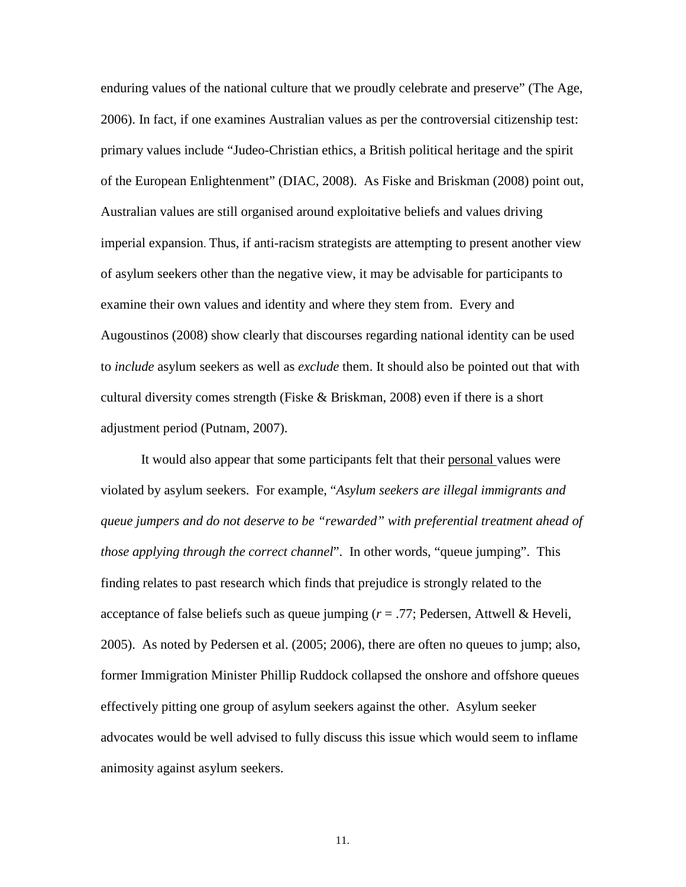enduring values of the national culture that we proudly celebrate and preserve" (The Age, 2006). In fact, if one examines Australian values as per the controversial citizenship test: primary values include "Judeo-Christian ethics, a British political heritage and the spirit of the European Enlightenment" (DIAC, 2008). As Fiske and Briskman (2008) point out, Australian values are still organised around exploitative beliefs and values driving imperial expansion. Thus, if anti-racism strategists are attempting to present another view of asylum seekers other than the negative view, it may be advisable for participants to examine their own values and identity and where they stem from. Every and Augoustinos (2008) show clearly that discourses regarding national identity can be used to *include* asylum seekers as well as *exclude* them. It should also be pointed out that with cultural diversity comes strength (Fiske & Briskman, 2008) even if there is a short adjustment period (Putnam, 2007).

It would also appear that some participants felt that their personal values were violated by asylum seekers. For example, "*Asylum seekers are illegal immigrants and queue jumpers and do not deserve to be "rewarded" with preferential treatment ahead of those applying through the correct channel*". In other words, "queue jumping". This finding relates to past research which finds that prejudice is strongly related to the acceptance of false beliefs such as queue jumping (*r* = .77; Pedersen, Attwell & Heveli, 2005). As noted by Pedersen et al. (2005; 2006), there are often no queues to jump; also, former Immigration Minister Phillip Ruddock collapsed the onshore and offshore queues effectively pitting one group of asylum seekers against the other. Asylum seeker advocates would be well advised to fully discuss this issue which would seem to inflame animosity against asylum seekers.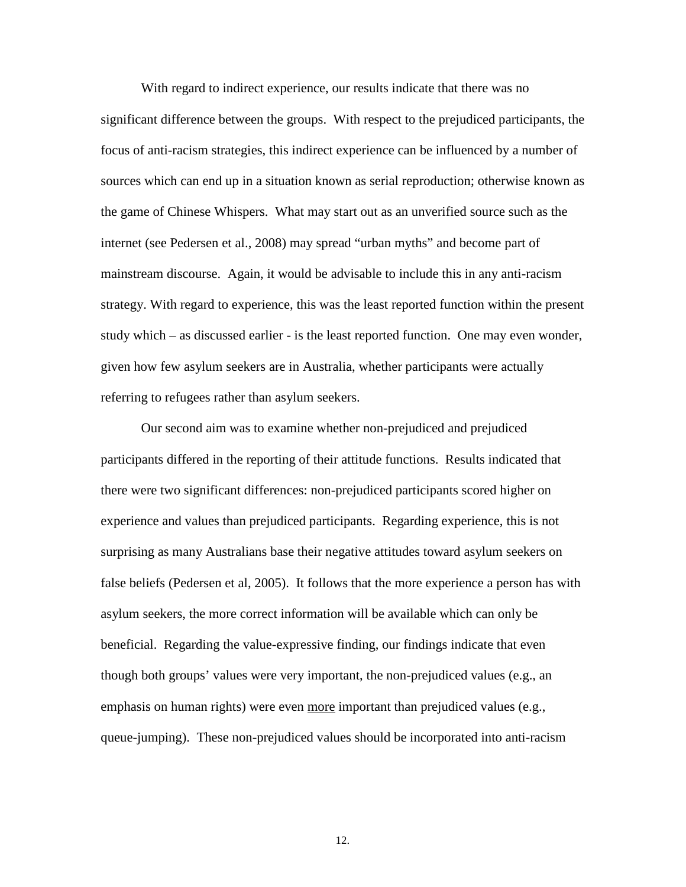With regard to indirect experience, our results indicate that there was no significant difference between the groups. With respect to the prejudiced participants, the focus of anti-racism strategies, this indirect experience can be influenced by a number of sources which can end up in a situation known as serial reproduction; otherwise known as the game of Chinese Whispers. What may start out as an unverified source such as the internet (see Pedersen et al., 2008) may spread "urban myths" and become part of mainstream discourse. Again, it would be advisable to include this in any anti-racism strategy. With regard to experience, this was the least reported function within the present study which – as discussed earlier - is the least reported function. One may even wonder, given how few asylum seekers are in Australia, whether participants were actually referring to refugees rather than asylum seekers.

Our second aim was to examine whether non-prejudiced and prejudiced participants differed in the reporting of their attitude functions. Results indicated that there were two significant differences: non-prejudiced participants scored higher on experience and values than prejudiced participants. Regarding experience, this is not surprising as many Australians base their negative attitudes toward asylum seekers on false beliefs (Pedersen et al, 2005). It follows that the more experience a person has with asylum seekers, the more correct information will be available which can only be beneficial. Regarding the value-expressive finding, our findings indicate that even though both groups' values were very important, the non-prejudiced values (e.g., an emphasis on human rights) were even more important than prejudiced values (e.g., queue-jumping). These non-prejudiced values should be incorporated into anti-racism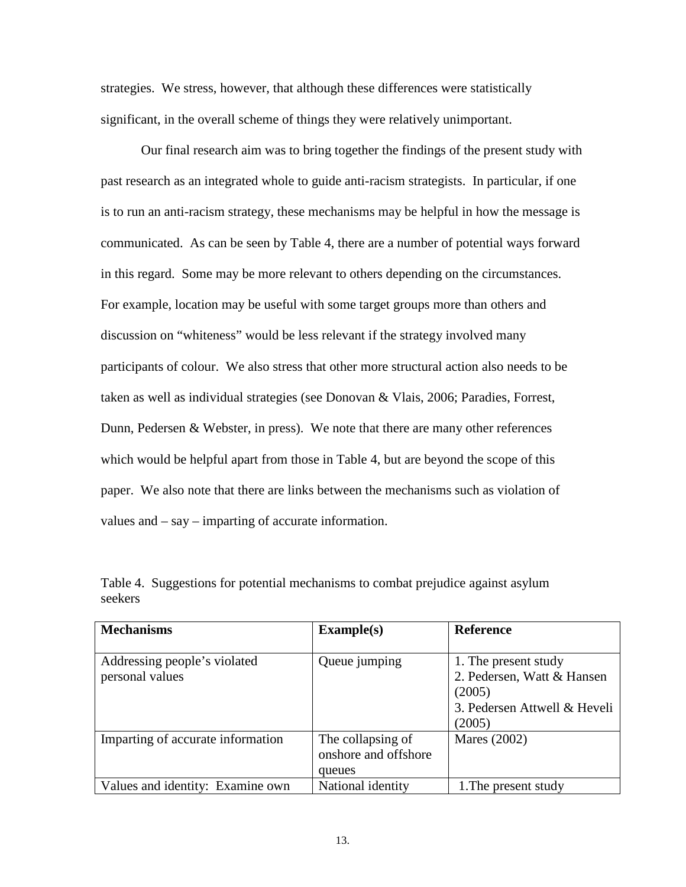strategies. We stress, however, that although these differences were statistically significant, in the overall scheme of things they were relatively unimportant.

Our final research aim was to bring together the findings of the present study with past research as an integrated whole to guide anti-racism strategists. In particular, if one is to run an anti-racism strategy, these mechanisms may be helpful in how the message is communicated. As can be seen by Table 4, there are a number of potential ways forward in this regard. Some may be more relevant to others depending on the circumstances. For example, location may be useful with some target groups more than others and discussion on "whiteness" would be less relevant if the strategy involved many participants of colour. We also stress that other more structural action also needs to be taken as well as individual strategies (see Donovan & Vlais, 2006; Paradies, Forrest, Dunn, Pedersen & Webster, in press). We note that there are many other references which would be helpful apart from those in Table 4, but are beyond the scope of this paper. We also note that there are links between the mechanisms such as violation of values and – say – imparting of accurate information.

| <b>Mechanisms</b>                 | Example(s)           | <b>Reference</b>             |
|-----------------------------------|----------------------|------------------------------|
|                                   |                      |                              |
| Addressing people's violated      | Queue jumping        | 1. The present study         |
| personal values                   |                      | 2. Pedersen, Watt & Hansen   |
|                                   |                      | (2005)                       |
|                                   |                      | 3. Pedersen Attwell & Heveli |
|                                   |                      | (2005)                       |
| Imparting of accurate information | The collapsing of    | Mares (2002)                 |
|                                   | onshore and offshore |                              |
|                                   | queues               |                              |
| Values and identity: Examine own  | National identity    | 1. The present study         |

Table 4. Suggestions for potential mechanisms to combat prejudice against asylum seekers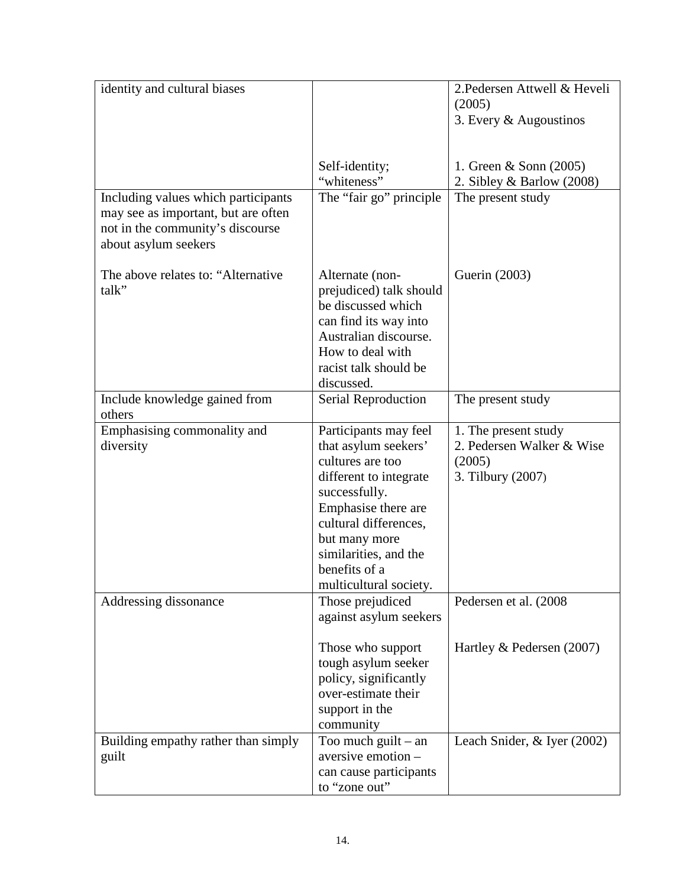| identity and cultural biases                                                                                                           |                                                                                                                                                                                                                                                   | 2. Pedersen Attwell & Heveli<br>(2005)<br>3. Every & Augoustinos                 |
|----------------------------------------------------------------------------------------------------------------------------------------|---------------------------------------------------------------------------------------------------------------------------------------------------------------------------------------------------------------------------------------------------|----------------------------------------------------------------------------------|
|                                                                                                                                        | Self-identity;<br>"whiteness"                                                                                                                                                                                                                     | 1. Green $\&$ Sonn (2005)<br>2. Sibley & Barlow (2008)                           |
| Including values which participants<br>may see as important, but are often<br>not in the community's discourse<br>about asylum seekers | The "fair go" principle                                                                                                                                                                                                                           | The present study                                                                |
| The above relates to: "Alternative"<br>talk"                                                                                           | Alternate (non-<br>prejudiced) talk should<br>be discussed which<br>can find its way into<br>Australian discourse.<br>How to deal with<br>racist talk should be<br>discussed.                                                                     | Guerin (2003)                                                                    |
| Include knowledge gained from<br>others                                                                                                | Serial Reproduction                                                                                                                                                                                                                               | The present study                                                                |
| Emphasising commonality and<br>diversity                                                                                               | Participants may feel<br>that asylum seekers'<br>cultures are too<br>different to integrate<br>successfully.<br>Emphasise there are<br>cultural differences,<br>but many more<br>similarities, and the<br>benefits of a<br>multicultural society. | 1. The present study<br>2. Pedersen Walker & Wise<br>(2005)<br>3. Tilbury (2007) |
| Addressing dissonance                                                                                                                  | Those prejudiced<br>against asylum seekers                                                                                                                                                                                                        | Pedersen et al. (2008)                                                           |
|                                                                                                                                        | Those who support<br>tough asylum seeker<br>policy, significantly<br>over-estimate their<br>support in the<br>community                                                                                                                           | Hartley & Pedersen (2007)                                                        |
| Building empathy rather than simply<br>guilt                                                                                           | Too much guilt $-$ an<br>aversive emotion -<br>can cause participants<br>to "zone out"                                                                                                                                                            | Leach Snider, & Iyer (2002)                                                      |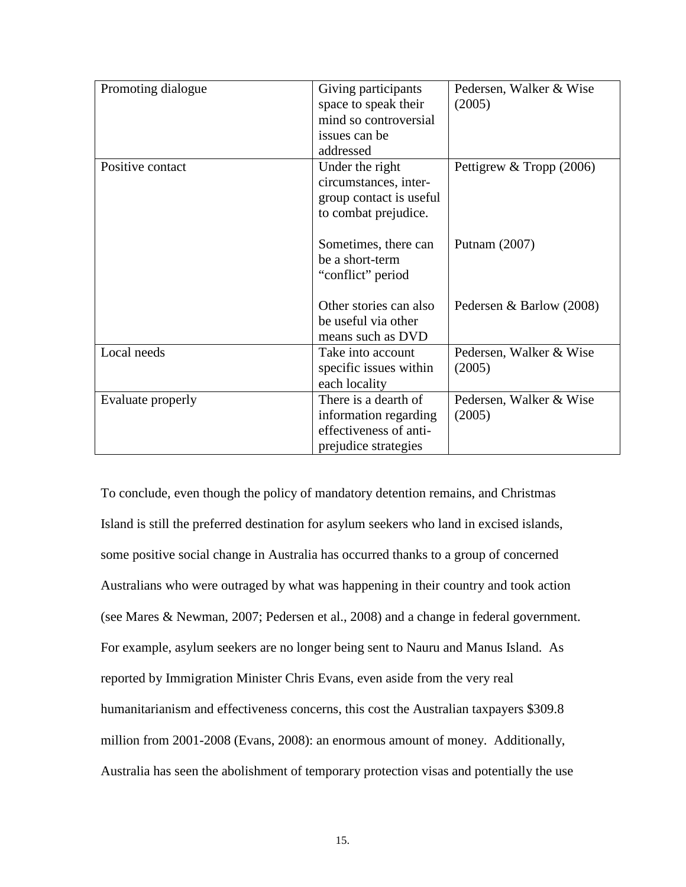| Promoting dialogue | Giving participants                           | Pedersen, Walker & Wise  |
|--------------------|-----------------------------------------------|--------------------------|
|                    | space to speak their                          | (2005)                   |
|                    | mind so controversial                         |                          |
|                    | issues can be                                 |                          |
|                    | addressed                                     |                          |
| Positive contact   | Under the right                               | Pettigrew & Tropp (2006) |
|                    | circumstances, inter-                         |                          |
|                    | group contact is useful                       |                          |
|                    | to combat prejudice.                          |                          |
|                    | Sometimes, there can                          | Putnam (2007)            |
|                    | be a short-term                               |                          |
|                    | "conflict" period                             |                          |
|                    | Other stories can also<br>be useful via other | Pedersen & Barlow (2008) |
|                    | means such as DVD                             |                          |
| Local needs        | Take into account                             | Pedersen, Walker & Wise  |
|                    | specific issues within                        | (2005)                   |
|                    | each locality                                 |                          |
| Evaluate properly  | There is a dearth of                          | Pedersen, Walker & Wise  |
|                    | information regarding                         | (2005)                   |
|                    | effectiveness of anti-                        |                          |
|                    | prejudice strategies                          |                          |

To conclude, even though the policy of mandatory detention remains, and Christmas Island is still the preferred destination for asylum seekers who land in excised islands, some positive social change in Australia has occurred thanks to a group of concerned Australians who were outraged by what was happening in their country and took action (see Mares & Newman, 2007; Pedersen et al., 2008) and a change in federal government. For example, asylum seekers are no longer being sent to Nauru and Manus Island. As reported by Immigration Minister Chris Evans, even aside from the very real humanitarianism and effectiveness concerns, this cost the Australian taxpayers \$309.8 million from 2001-2008 (Evans, 2008): an enormous amount of money. Additionally, Australia has seen the abolishment of temporary protection visas and potentially the use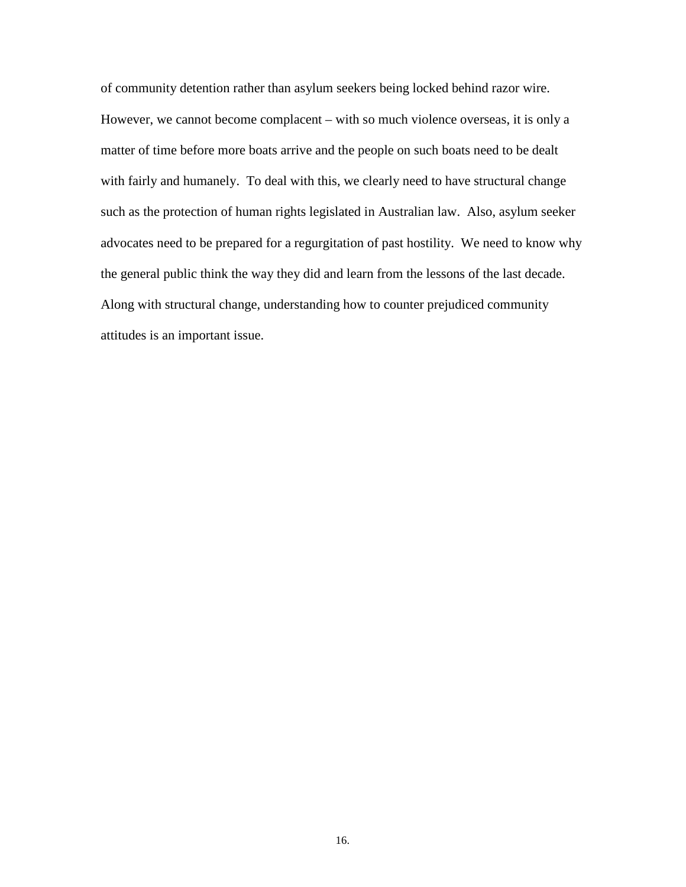of community detention rather than asylum seekers being locked behind razor wire. However, we cannot become complacent – with so much violence overseas, it is only a matter of time before more boats arrive and the people on such boats need to be dealt with fairly and humanely. To deal with this, we clearly need to have structural change such as the protection of human rights legislated in Australian law. Also, asylum seeker advocates need to be prepared for a regurgitation of past hostility. We need to know why the general public think the way they did and learn from the lessons of the last decade. Along with structural change, understanding how to counter prejudiced community attitudes is an important issue.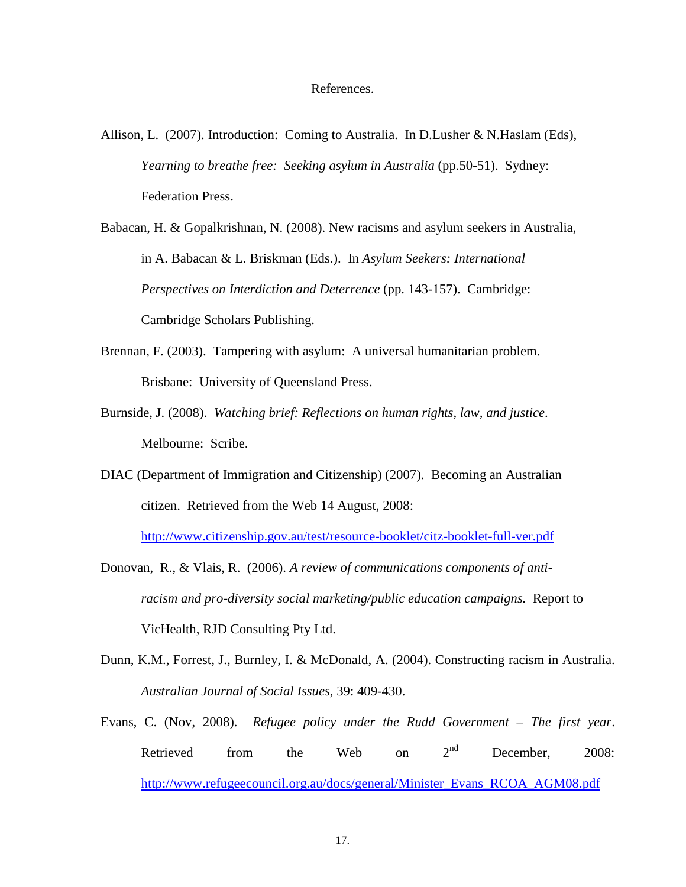## References.

- Allison, L. (2007). Introduction: Coming to Australia. In D.Lusher & N.Haslam (Eds), *Yearning to breathe free: Seeking asylum in Australia* (pp.50-51). Sydney: Federation Press.
- Babacan, H. & Gopalkrishnan, N. (2008). New racisms and asylum seekers in Australia, in A. Babacan & L. Briskman (Eds.). In *Asylum Seekers: International Perspectives on Interdiction and Deterrence* (pp. 143-157). Cambridge: Cambridge Scholars Publishing.
- Brennan, F. (2003). Tampering with asylum: A universal humanitarian problem. Brisbane: University of Queensland Press.
- Burnside, J. (2008). *Watching brief: Reflections on human rights, law, and justice*. Melbourne: Scribe.
- DIAC (Department of Immigration and Citizenship) (2007). Becoming an Australian citizen. Retrieved from the Web 14 August, 2008:

<http://www.citizenship.gov.au/test/resource-booklet/citz-booklet-full-ver.pdf>

- Donovan, R., & Vlais, R. (2006). *A review of communications components of antiracism and pro-diversity social marketing/public education campaigns.* Report to VicHealth, RJD Consulting Pty Ltd.
- Dunn, K.M., Forrest, J., Burnley, I. & McDonald, A. (2004). Constructing racism in Australia. *Australian Journal of Social Issues*, 39: 409-430.
- Evans, C. (Nov, 2008). *Refugee policy under the Rudd Government The first year*. Retrieved from the Web on  $2<sup>nd</sup>$  December, 2008: [http://www.refugeecouncil.org.au/docs/general/Minister\\_Evans\\_RCOA\\_AGM08.pdf](http://www.refugeecouncil.org.au/docs/general/Minister_Evans_RCOA_AGM08.pdf)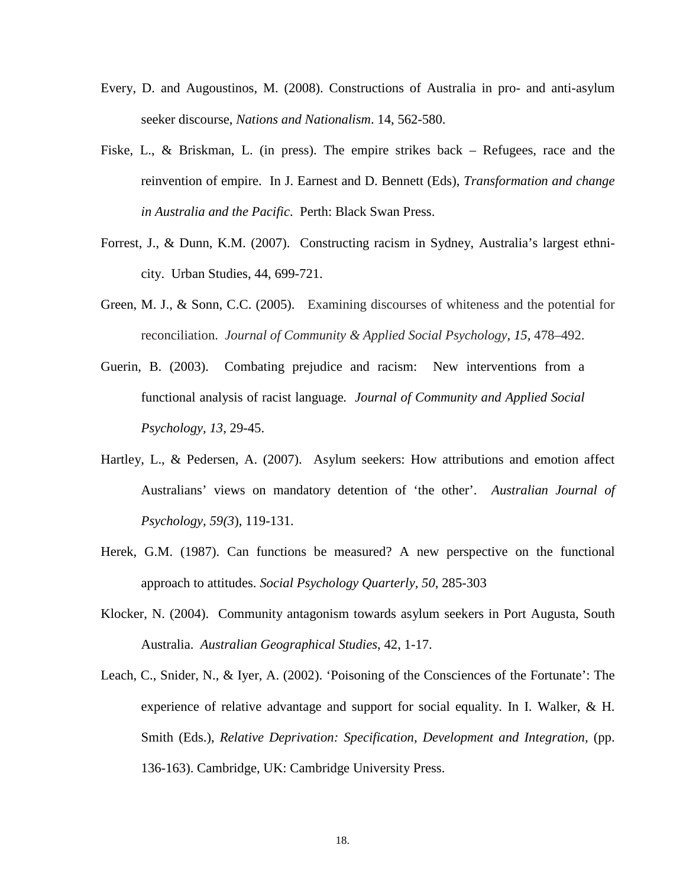- Every, D. and Augoustinos, M. (2008). Constructions of Australia in pro- and anti-asylum seeker discourse, *Nations and Nationalism*. 14, 562-580.
- Fiske, L., & Briskman, L. (in press). The empire strikes back Refugees, race and the reinvention of empire. In J. Earnest and D. Bennett (Eds), *Transformation and change in Australia and the Pacific*. Perth: Black Swan Press.
- Forrest, J., & Dunn, K.M. (2007). Constructing racism in Sydney, Australia's largest ethnicity. Urban Studies, 44, 699-721.
- Green, M. J., & Sonn, C.C. (2005). Examining discourses of whiteness and the potential for reconciliation. *Journal of Community & Applied Social Psychology, 15,* 478–492.
- Guerin, B. (2003). Combating prejudice and racism: New interventions from a functional analysis of racist language*. Journal of Community and Applied Social Psychology, 13*, 29-45.
- Hartley, L., & Pedersen, A. (2007). Asylum seekers: How attributions and emotion affect Australians' views on mandatory detention of 'the other'. *Australian Journal of Psychology, 59(3*), 119-131.
- Herek, G.M. (1987). Can functions be measured? A new perspective on the functional approach to attitudes. *Social Psychology Quarterly, 50*, 285-303
- Klocker, N. (2004). Community antagonism towards asylum seekers in Port Augusta, South Australia. *Australian Geographical Studies*, 42, 1-17.
- Leach, C., Snider, N., & Iyer, A. (2002). 'Poisoning of the Consciences of the Fortunate': The experience of relative advantage and support for social equality. In I. Walker, & H. Smith (Eds.), *Relative Deprivation: Specification, Development and Integration,* (pp. 136-163). Cambridge, UK: Cambridge University Press.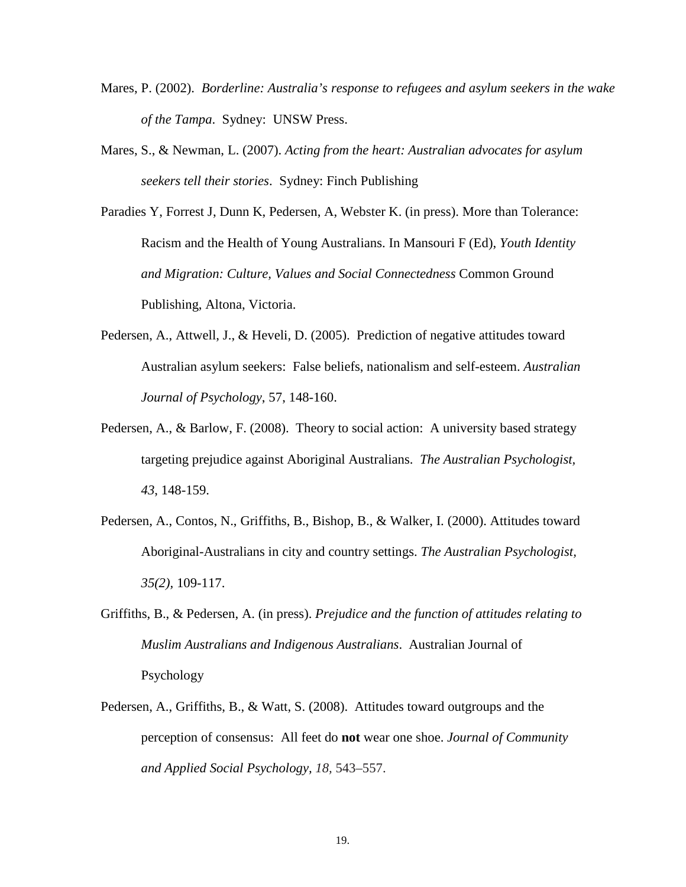- Mares, P. (2002). *Borderline: Australia's response to refugees and asylum seekers in the wake of the Tampa*. Sydney: UNSW Press.
- Mares, S., & Newman, L. (2007). *Acting from the heart: Australian advocates for asylum seekers tell their stories*. Sydney: Finch Publishing

Paradies Y, Forrest J, Dunn K, Pedersen, A, Webster K. (in press). More than Tolerance: Racism and the Health of Young Australians. In Mansouri F (Ed), *Youth Identity and Migration: Culture, Values and Social Connectedness* Common Ground Publishing, Altona, Victoria.

- Pedersen, A., Attwell, J., & Heveli, D. (2005). Prediction of negative attitudes toward Australian asylum seekers: False beliefs, nationalism and self-esteem. *Australian Journal of Psychology*, 57, 148-160.
- Pedersen, A., & Barlow, F. (2008). Theory to social action: A university based strategy targeting prejudice against Aboriginal Australians. *The Australian Psychologist, 43*, 148-159.
- Pedersen, A., Contos, N., Griffiths, B., Bishop, B., & Walker, I. (2000). Attitudes toward Aboriginal-Australians in city and country settings. *The Australian Psychologist, 35(2),* 109-117.
- Griffiths, B., & Pedersen, A. (in press). *Prejudice and the function of attitudes relating to Muslim Australians and Indigenous Australians*. Australian Journal of Psychology
- Pedersen, A., Griffiths, B., & Watt, S. (2008). Attitudes toward outgroups and the perception of consensus: All feet do **not** wear one shoe. *Journal of Community and Applied Social Psychology, 18,* 543–557.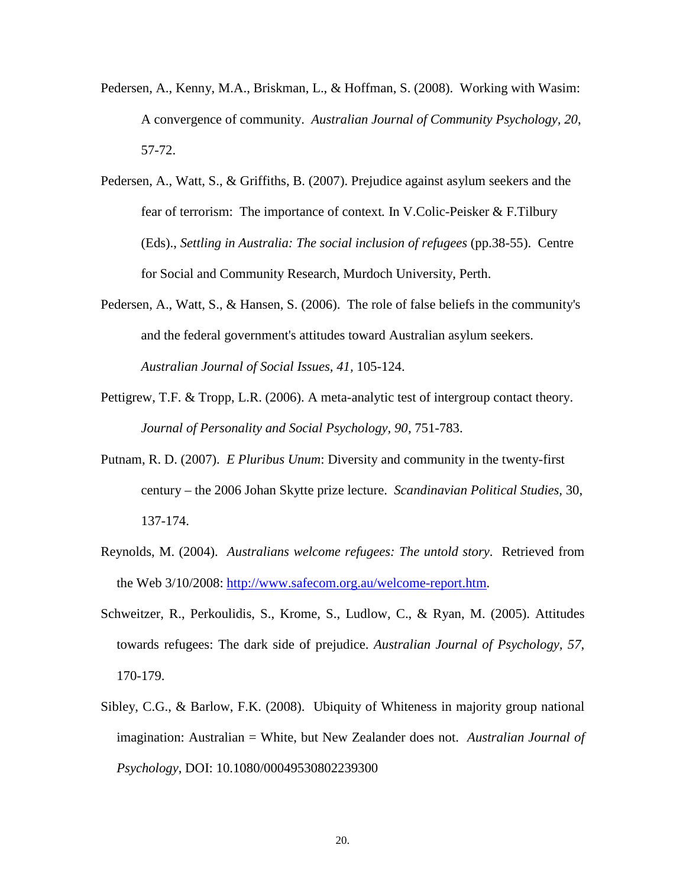- Pedersen, A., Kenny, M.A., Briskman, L., & Hoffman, S. (2008). Working with Wasim: A convergence of community. *Australian Journal of Community Psychology, 20*, 57-72.
- Pedersen, A., Watt, S., & Griffiths, B. (2007). Prejudice against asylum seekers and the fear of terrorism: The importance of context*.* In V.Colic-Peisker & F.Tilbury (Eds)., *Settling in Australia: The social inclusion of refugees* (pp.38-55).Centre for Social and Community Research, Murdoch University, Perth.
- Pedersen, A., Watt, S., & Hansen, S. (2006). The role of false beliefs in the community's and the federal government's attitudes toward Australian asylum seekers. *Australian Journal of Social Issues, 41,* 105-124.
- Pettigrew, T.F. & Tropp, L.R. (2006). A meta-analytic test of intergroup contact theory. *Journal of Personality and Social Psychology, 90,* 751-783.
- Putnam, R. D. (2007). *E Pluribus Unum*: Diversity and community in the twenty-first century – the 2006 Johan Skytte prize lecture. *Scandinavian Political Studies,* 30, 137-174.
- Reynolds, M. (2004). *Australians welcome refugees: The untold story*. Retrieved from the Web 3/10/2008: [http://www.safecom.org.au/welcome-report.htm.](http://www.safecom.org.au/welcome-report.htm)
- Schweitzer, R., Perkoulidis, S., Krome, S., Ludlow, C., & Ryan, M. (2005). Attitudes towards refugees: The dark side of prejudice. *Australian Journal of Psychology, 57*, 170-179.
- Sibley, C.G., & Barlow, F.K. (2008). Ubiquity of Whiteness in majority group national imagination: Australian = White, but New Zealander does not. *Australian Journal of Psychology*, DOI: 10.1080/00049530802239300